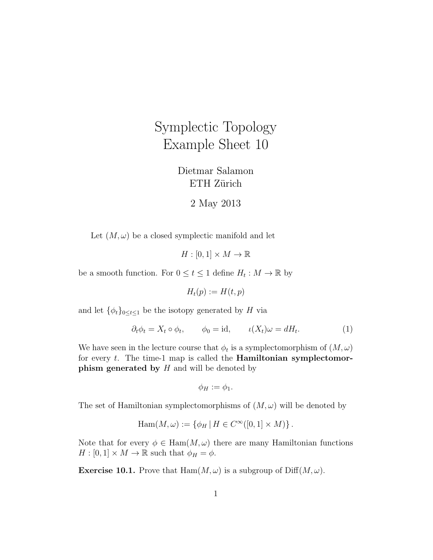## Symplectic Topology Example Sheet 10

Dietmar Salamon ETH Zürich

2 May 2013

Let  $(M, \omega)$  be a closed symplectic manifold and let

 $H : [0,1] \times M \to \mathbb{R}$ 

be a smooth function. For  $0 \le t \le 1$  define  $H_t : M \to \mathbb{R}$  by

 $H_t(p) := H(t, p)$ 

and let  $\{\phi_t\}_{0 \leq t \leq 1}$  be the isotopy generated by H via

$$
\partial_t \phi_t = X_t \circ \phi_t, \qquad \phi_0 = \text{id}, \qquad \iota(X_t)\omega = dH_t. \tag{1}
$$

We have seen in the lecture course that  $\phi_t$  is a symplectomorphism of  $(M, \omega)$ for every  $t$ . The time-1 map is called the **Hamiltonian symplectomor**phism generated by  $H$  and will be denoted by

$$
\phi_H := \phi_1.
$$

The set of Hamiltonian symplectomorphisms of  $(M, \omega)$  will be denoted by

$$
\mathrm{Ham}(M,\omega) := \{ \phi_H \, | \, H \in C^{\infty}([0,1] \times M) \}.
$$

Note that for every  $\phi \in \text{Ham}(M, \omega)$  there are many Hamiltonian functions  $H : [0,1] \times M \to \mathbb{R}$  such that  $\phi_H = \phi$ .

**Exercise 10.1.** Prove that  $\text{Ham}(M,\omega)$  is a subgroup of  $\text{Diff}(M,\omega)$ .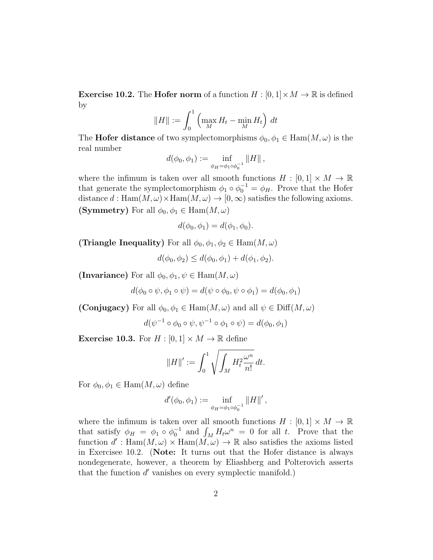**Exercise 10.2.** The **Hofer norm** of a function  $H : [0,1] \times M \to \mathbb{R}$  is defined by

$$
||H|| := \int_0^1 \left( \max_M H_t - \min_M H_t \right) dt
$$

The **Hofer distance** of two symplectomorphisms  $\phi_0, \phi_1 \in \text{Ham}(M, \omega)$  is the real number

$$
d(\phi_0, \phi_1) := \inf_{\phi_H = \phi_1 \circ \phi_0^{-1}} ||H||,
$$

where the infimum is taken over all smooth functions  $H : [0,1] \times M \to \mathbb{R}$ that generate the symplectomorphism  $\phi_1 \circ \phi_0^{-1} = \phi_H$ . Prove that the Hofer distance  $d : \text{Ham}(M, \omega) \times \text{Ham}(M, \omega) \to [0, \infty)$  satisfies the following axioms. (Symmetry) For all  $\phi_0, \phi_1 \in \text{Ham}(M, \omega)$ 

$$
d(\phi_0, \phi_1) = d(\phi_1, \phi_0).
$$

(Triangle Inequality) For all  $\phi_0, \phi_1, \phi_2 \in \text{Ham}(M, \omega)$ 

$$
d(\phi_0, \phi_2) \le d(\phi_0, \phi_1) + d(\phi_1, \phi_2).
$$

(Invariance) For all  $\phi_0, \phi_1, \psi \in \text{Ham}(M, \omega)$ 

$$
d(\phi_0 \circ \psi, \phi_1 \circ \psi) = d(\psi \circ \phi_0, \psi \circ \phi_1) = d(\phi_0, \phi_1)
$$

(Conjugacy) For all  $\phi_0, \phi_1 \in \text{Ham}(M, \omega)$  and all  $\psi \in \text{Diff}(M, \omega)$ 

$$
d(\psi^{-1} \circ \phi_0 \circ \psi, \psi^{-1} \circ \phi_1 \circ \psi) = d(\phi_0, \phi_1)
$$

**Exercise 10.3.** For  $H : [0,1] \times M \to \mathbb{R}$  define

$$
||H||':=\int_0^1\sqrt{\int_M H_t^2\frac{\omega^n}{n!}}\,dt.
$$

For  $\phi_0, \phi_1 \in \text{Ham}(M, \omega)$  define

$$
d'(\phi_0, \phi_1) := \inf_{\phi_H = \phi_1 \circ \phi_0^{-1}} ||H||',
$$

where the infimum is taken over all smooth functions  $H : [0,1] \times M \to \mathbb{R}$ that satisfy  $\phi_H = \phi_1 \circ \phi_0^{-1}$  and  $\int_M H_t \omega^n = 0$  for all t. Prove that the function  $d'$ : Ham $(M, \omega) \times$  Ham $(M, \omega) \to \mathbb{R}$  also satisfies the axioms listed in Exercisee 10.2. (Note: It turns out that the Hofer distance is always nondegenerate, however, a theorem by Eliashberg and Polterovich asserts that the function  $d'$  vanishes on every symplectic manifold.)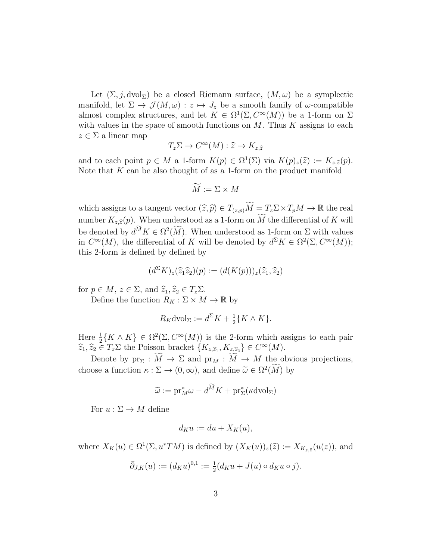Let  $(\Sigma, j, dvol_{\Sigma})$  be a closed Riemann surface,  $(M, \omega)$  be a symplectic manifold, let  $\Sigma \to \mathcal{J}(M,\omega) : z \mapsto J_z$  be a smooth family of  $\omega$ -compatible almost complex structures, and let  $K \in \Omega^1(\Sigma, C^{\infty}(M))$  be a 1-form on  $\Sigma$ with values in the space of smooth functions on  $M$ . Thus  $K$  assigns to each  $z \in \Sigma$  a linear map

$$
T_z \Sigma \to C^\infty(M) : \widehat{z} \mapsto K_{z,\widehat{z}}
$$

and to each point  $p \in M$  a 1-form  $K(p) \in \Omega^1(\Sigma)$  via  $K(p)_z(\hat{z}) := K_{z,\hat{z}}(p)$ .<br>Note that K can be also thought of as a 1 form on the product manifold Note that  $K$  can be also thought of as a 1-form on the product manifold

$$
\widetilde{M} := \Sigma \times M
$$

which assigns to a tangent vector  $(\widehat{z}, \widehat{p}) \in T_{(z,p)}\widetilde{M} = T_z\Sigma \times T_pM \to \mathbb{R}$  the real number  $K_{z,\hat{z}}(p)$ . When understood as a 1-form on  $\widetilde{M}$  the differential of K will be denoted by  $d^M K \in \Omega^2(M)$ . When understood as 1-form on  $\Sigma$  with values in  $C^{\infty}(M)$ , the differential of K will be denoted by  $d^{\Sigma} K \in \Omega^{2}(\Sigma, C^{\infty}(M));$ this 2-form is defined by defined by

$$
(d^{\Sigma}K)_z(\widehat{z}_1\widehat{z}_2)(p) := (d(K(p)))_z(\widehat{z}_1,\widehat{z}_2)
$$

for  $p \in M$ ,  $z \in \Sigma$ , and  $\widehat{z}_1, \widehat{z}_2 \in T_z \Sigma$ .

Define the function  $R_K: \Sigma \times M \rightarrow \mathbb{R}$  by

$$
R_K \text{dvol}_{\Sigma} := d^{\Sigma} K + \frac{1}{2} \{ K \wedge K \}.
$$

Here  $\frac{1}{2} \{ K \wedge K \} \in \Omega^2(\Sigma, C^{\infty}(M))$  is the 2-form which assigns to each pair  $\widehat{z}_1, \widehat{z}_2 \in T_z \Sigma$  the Poisson bracket  $\{K_{z, \widehat{z}_1}, K_{z, \widehat{z}_2}\} \in C^{\infty}(M)$ .

Denote by  $\mathrm{pr}_{\Sigma}: \widetilde{M} \to \Sigma$  and  $\mathrm{pr}_{M}: \widetilde{M} \to M$  the obvious projections, choose a function  $\kappa : \Sigma \to (0, \infty)$ , and define  $\tilde{\omega} \in \Omega^2(M)$  by

$$
\widetilde{\omega} := \mathrm{pr}_M^* \omega - d^{\widetilde{M}} K + \mathrm{pr}_\Sigma^* (\kappa \mathrm{dvol}_\Sigma)
$$

For  $u : \Sigma \to M$  define

$$
d_K u := du + X_K(u),
$$

where  $X_K(u) \in \Omega^1(\Sigma, u^*TM)$  is defined by  $(X_K(u))_z(\hat{z}) := X_{K_{z,\hat{z}}}(u(z))$ , and

$$
\bar{\partial}_{J,K}(u) := (d_K u)^{0,1} := \frac{1}{2}(d_K u + J(u) \circ d_K u \circ j).
$$